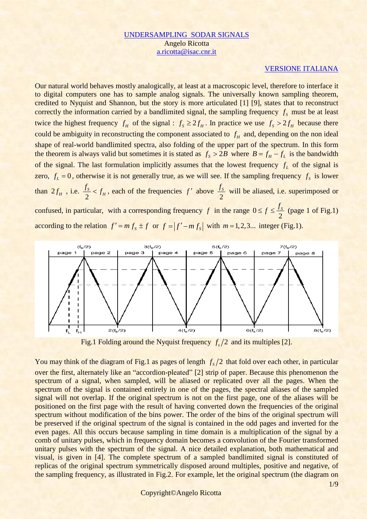## [UNDERSAMPLING](UndersamplingARnv.pdf) SODAR SIGNALS Angelo Ricotta [a.ricotta@isac.cnr.it](mailto:a.ricotta@isac.cnr.it)

## [VERSIONE ITALIANA](UndersamplingARnvIT.htm)

Our natural world behaves mostly analogically, at least at a macroscopic level, therefore to interface it to digital computers one has to sample analog signals. The universally known sampling theorem, credited to Nyquist and Shannon, but the story is more articulated [1] [9], states that to reconstruct correctly the information carried by a bandlimited signal, the sampling frequency  $f_s$  must be at least twice the highest frequency  $f_H$  of the signal :  $f_s \geq 2f_H$ . In practice we use  $f_s > 2f_H$  because there could be ambiguity in reconstructing the component associated to  $f<sub>H</sub>$  and, depending on the non ideal shape of real-world bandlimited spectra, also folding of the upper part of the spectrum. In this form the theorem is always valid but sometimes it is stated as  $f_s > 2B$  where  $B = f_H - f_L$  is the bandwidth of the signal. The last formulation implicitly assumes that the lowest frequency  $f_L$  of the signal is zero,  $f_L = 0$ , otherwise it is not generally true, as we will see. If the sampling frequency  $f_s$  is lower than  $2f_H$ , i.e. 2  $\frac{S}{\sim}$  <  $f_H$  $\frac{f_S}{g} < f_H$ , each of the frequencies  $f'$  above 2 *S f* will be aliased, i.e. superimposed or confused, in particular, with a corresponding frequency  $f$  in the range  $0$ 2  $\leq f \leq \frac{f_s}{2}$  (page 1 of Fig.1) according to the relation  $f' = mf_s \pm f$  or  $f = |f' - mf_s|$  with  $m = 1, 2, 3...$  integer (Fig.1).



Fig.1 Folding around the Nyquist frequency  $f_s/2$  and its multiples [2].

You may think of the diagram of Fig.1 as pages of length  $f_s/2$  that fold over each other, in particular over the first, alternately like an "accordion-pleated" [2] strip of paper. Because this phenomenon the spectrum of a signal, when sampled, will be aliased or replicated over all the pages. When the spectrum of the signal is contained entirely in one of the pages, the spectral aliases of the sampled signal will not overlap. If the original spectrum is not on the first page, one of the aliases will be positioned on the first page with the result of having converted down the frequencies of the original spectrum without modification of the bins power. The order of the bins of the original spectrum will be preserved if the original spectrum of the signal is contained in the odd pages and inverted for the even pages. All this occurs because sampling in time domain is a multiplication of the signal by a comb of unitary pulses, which in frequency domain becomes a convolution of the Fourier transformed unitary pulses with the spectrum of the signal. A nice detailed explanation, both mathematical and visual, is given in [4]. The complete spectrum of a sampled bandlimited signal is constituted of replicas of the original spectrum symmetrically disposed around multiples, positive and negative, of the sampling frequency, as illustrated in Fig.2. For example, let the original spectrum (the diagram on

Copyright©Angelo Ricotta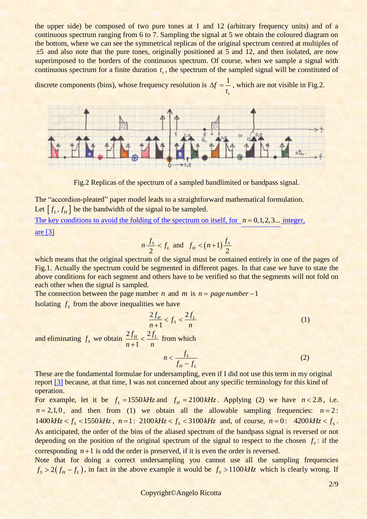the upper side) be composed of two pure tones at 1 and 12 (arbitrary frequency units) and of a continuous spectrum ranging from 6 to 7. Sampling the signal at 5 we obtain the coloured diagram on the bottom, where we can see the symmetrical replicas of the original spectrum centred at multiples of 5 and also note that the pure tones, originally positioned at 5 and 12, and then isolated, are now superimposed to the borders of the continuous spectrum. Of course, when we sample a signal with continuous spectrum for a finite duration  $t_s$ , the spectrum of the sampled signal will be constituted of

discrete components (bins), whose frequency resolution is  $\Delta f = \frac{1}{\epsilon}$ *s t*  $\Delta f = \frac{1}{2}$ , which are not visible in Fig.2.



Fig.2 Replicas of the spectrum of a sampled bandlimited or bandpass signal.

The "accordion-pleated" paper model leads to a straightforward mathematical formulation. Let  $[f_L, f_H]$  be the bandwidth of the signal to be sampled.

The key conditions [to avoid the folding of the spectrum on itself, for](Sodar83-11.doc)  $n = 0, 1, 2, 3...$  integer, [are](Sodar83-11.doc) [3]

$$
n\frac{f_s}{2} < f_L \text{ and } f_H < (n+1)\frac{f_s}{2}
$$

which means that the original spectrum of the signal must be contained entirely in one of the pages of Fig.1. Actually the spectrum could be segmented in different pages. In that case we have to state the above conditions for each segment and others have to be verified so that the segments will not fold on each other when the signal is sampled.

The connection between the page number *n* and *m* is  $n = page number -1$ Isolating  $f_s$  from the above inequalities we have

$$
\frac{2f_H}{n+1} < f_S < \frac{2f_L}{n} \tag{1}
$$

and eliminating  $f_s$  we obtain  $\frac{2f_H}{g} < \frac{2}{g}$ 1  $f_H$   $\geq 2f_L$  $n+1$  n  $\prec$ + from which

$$
n < \frac{f_L}{f_H - f_L} \tag{2}
$$

These are the fundamental formulae for undersampling, even if I did not use this term in my original report [\[3\]](Sodar83-11.doc) because, at that time, I was not concerned about any specific terminology for this kind of operation.

For example, let it be  $f_L = 1550 \, kHz$  and  $f_H = 2100 \, kHz$ . Applying (2) we have  $n < 2.8$ , i.e.  $n = 2, 1, 0$ , and then from (1) we obtain all the allowable sampling frequencies:  $n = 2$ : 1400  $kHz < f_s < 1550$   $kHz$ ,  $n = 1$ : 2100  $kHz < f_s < 3100$   $kHz$  and, of course,  $n = 0$ : 4200  $kHz < f_s$ . As anticipated, the order of the bins of the aliased spectrum of the bandpass signal is reversed or not depending on the position of the original spectrum of the signal to respect to the chosen  $f_s$ : if the corresponding  $n+1$  is odd the order is preserved, if it is even the order is reversed.

Note that for doing a correct undersampling you cannot use all the sampling frequencies  $f_s > 2(f_h - f_l)$ , in fact in the above example it would be  $f_s > 1100kHz$  which is clearly wrong. If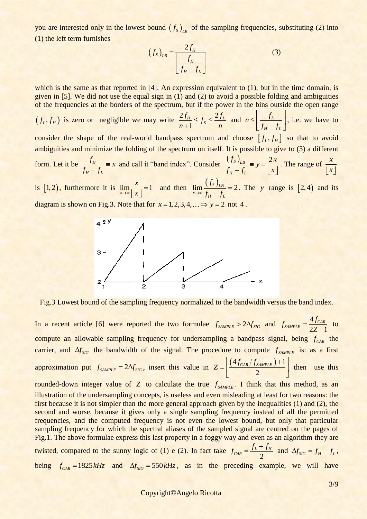you are interested only in the lowest bound  $(f_s)_{LB}$  of the sampling frequencies, substituting (2) into (1) the left term furnishes

$$
(f_S)_{LB} = \frac{2f_H}{\left[\frac{f_H}{f_H - f_L}\right]}
$$
(3)

which is the same as that reported in [4]. An expression equivalent to (1), but in the time domain, is given in [5]. We did not use the equal sign in  $(1)$  and  $(2)$  to avoid a possible folding and ambiguities of the frequencies at the borders of the spectrum, but if the power in the bins outside the open range

 $(f_L, f_H)$  is zero or negligible we may write  $\frac{2f_H}{g_H} \le f_S \le \frac{2}{f_H}$ 1  $\frac{f_H}{f_S} \le f_s \le \frac{2f_L}{f}$  $n+1$ <sup>-  $JS$ </sup> -  $n$  $\leq f_s \leq \frac{2}{\pi}$ + and  $n \leq \frac{J_L}{I}$ *H L*  $n \leq \left| \frac{f}{f} \right|$  $f_H - f$  $f_t$  $\leq \left[ \frac{J_L}{f_H - f_L} \right]$ , i.e. we have to consider the shape of the real-world bandpass spectrum and choose  $[f_L, f_H]$  so that to avoid ambiguities and minimize the folding of the spectrum on itself. It is possible to give to (3) a different form. Let it be  $\frac{J_H}{\sqrt{J_H}}$ *H L*  $f_H$   $\equiv x$  $f_H - f$  $\equiv$ − and call it "band index". Consider  $\frac{(f_s)_{LB}}{g_s} = y = \frac{2}{1+y}$  $_H - J_L$  $\frac{(f_s)_{LB}}{f_H - f_L} = y = \frac{2x}{|x|}$  $\equiv y = \frac{2}{1}$  $\frac{s}{x} - f_L$  =  $y = \frac{2x}{x}$ . The range of  $\frac{x}{x}$  $\lfloor x \rfloor$ 

is [1,2), furthermore it is  $\lim_{x\to\infty} \frac{x}{|x|} = 1$ *x*  $\rightarrow \infty$   $x$ =  $\lfloor x \rfloor$  and then  $\lim_{x \to \infty} \frac{(f_s)_{LB}}{f_H - f_L} = 2$ *f*  $\frac{1}{2}$   $\frac{1}{2}$   $\frac{1}{2}$   $\frac{1}{2}$   $\frac{1}{2}$   $\frac{1}{2}$   $\frac{1}{2}$   $\frac{1}{2}$   $\frac{1}{2}$   $\frac{1}{2}$   $\frac{1}{2}$   $\frac{1}{2}$   $\frac{1}{2}$   $\frac{1}{2}$   $\frac{1}{2}$   $\frac{1}{2}$   $\frac{1}{2}$   $\frac{1}{2}$   $\frac{1}{2}$   $\frac{1}{2}$   $\frac{1}{2}$   $\frac{1}{2}$  = − . The *y* range is  $[2,4)$  and its diagram is shown on Fig.3. Note that for  $x = 1, 2, 3, 4, ... \implies y = 2$  not 4.



Fig.3 Lowest bound of the sampling frequency normalized to the bandwidth versus the band index.

In a recent article [6] were reported the two formulae  $f_{sAMPLE} > 2\Delta f_{SIG}$  and  $f_{sAMPLE} = \frac{4}{3}$  $2Z - 1$  $\frac{c}{SAMPLE} = \frac{dJ_{CAR}}{27}$  $f_{\text{SAMPLE}} = \frac{4f}{2}$ *Z* = − to compute an allowable sampling frequency for undersampling a bandpass signal, being  $f_{CAR}$  the carrier, and  $\Delta f_{SIG}$  the bandwidth of the signal. The procedure to compute  $f_{SAMPLE}$  is: as a first approximation put  $f_{sAMPLE} = 2\Delta f_{SIG}$ , insert this value in  $\left(4f_{CAR}/f_{SAMPLE}\right)+1$ 2  $Z = \frac{1}{2} \frac{(4f_{CAR}/f_{SAMPLE}) + 1}{f_{SAMPLE}}$  $=\left[\frac{(4f_{CAR}/f_{SAMPLE})+1}{2}\right]$  then use this rounded-down integer value of  $Z$  to calculate the true  $f_{SAMPLE}$ . I think that this method, as an illustration of the undersampling concepts, is useless and even misleading at least for two reasons: the first because it is not simpler than the more general approach given by the inequalities (1) and (2), the second and worse, because it gives only a single sampling frequency instead of all the permitted frequencies, and the computed frequency is not even the lowest bound, but only that particular sampling frequency for which the spectral aliases of the sampled signal are centred on the pages of Fig.1. The above formulae express this last property in a foggy way and even as an algorithm they are twisted, compared to the sunny logic of (1) e (2). In fact take 2  $f_{CAR} = \frac{f_L + f_H}{2}$  and  $\Delta f_{SIG} = f_H - f_L$ , being  $f_{CAR} = 1825 kHz$  and  $\Delta f_{SIG} = 550 kHz$ , as in the preceding example, we will have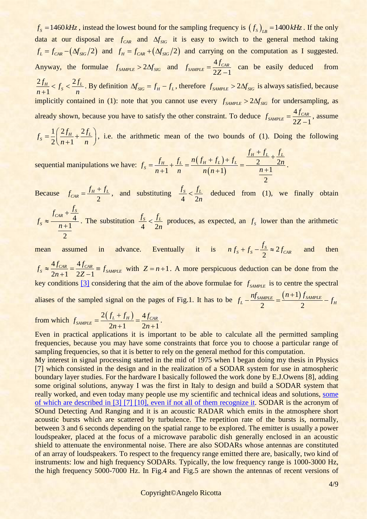$f_s = 1460 \, kHz$ , instead the lowest bound for the sampling frequency is  $(f_s)_{LB} = 1400 \, kHz$ . If the only data at our disposal are  $f_{CAR}$  and  $\Delta f_{SIG}$  it is easy to switch to the general method taking  $f_L = f_{CAR} - (\Delta f_{SG}/2)$  and  $f_H = f_{CAR} + (\Delta f_{SG}/2)$  and carrying on the computation as I suggested. Anyway, the formulae  $f_{sAMPLE} > 2\Delta f_{SIG}$  and  $f_{sAMPLE} = \frac{4}{2}$  $2Z - 1$  $\frac{C_{\text{SAMPL}}}{27}$  $f_{\text{SAMPLE}} = \frac{4f}{2\pi}$ *Z* = − can be easily deduced from  $2 f_H$   $\cdot$   $^2$ 1  $\frac{f_H}{f_S} < f_S < \frac{2f_L}{f_S}$  $n+1$ <sup> $s$ </sup>*n*  $\lt f_s \lt$   $\lt$   $\lt$ + . By definition  $\Delta f_{SIG} = f_H - f_L$ , therefore  $f_{SAMPLE} > 2\Delta f_{SIG}$  is always satisfied, because implicitly contained in (1): note that you cannot use every  $f_{sAMPLE} > 2\Delta f_{SG}$  for undersampling, as already shown, because you have to satisfy the other constraint. To deduce  $f_{sawPE} = \frac{4}{5}$  $2Z - 1$  $\frac{C_{\text{SAMPL}}}{27}$  $f_{\text{SAMPLE}} = \frac{4f}{2}$ *Z* = − , assume

 $1 / 2 f_{H} 2$  $\frac{1}{2}$  $\frac{1}{n+1}$  $f_s = \frac{1}{2} \left( \frac{2f_H}{r^2} + \frac{2f_L}{r^2} \right)$  $\frac{n+1}{n+1}$  n  $=\frac{1}{2}\left(\frac{2f_H}{n+1}+\frac{2f_L}{n}\right)$ , i.e. the arithmetic mean of the two bounds of (1). Doing the following  $\frac{f_H+f_L}{f_H+f_L}+\frac{f_L}{f_L}$ 

sequential manipulations we have:  $f_s = \frac{f_H}{f_L} + \frac{f_L}{f_L} = \frac{n(f_H + f_L)}{f_L}$  $(n+1)$  $rac{f_L}{2} + \frac{f_L}{2}$  $\frac{f_L}{1} + \frac{f_L}{n} = \frac{n(f_H + f_L) + f_L}{n(n+1)} = \frac{\frac{f_H + f_L}{n}}{\frac{n+1}{n}}$ 2  $f_{\mu} + f_{L} f_{L}$  $f_s = \frac{f_H}{h} + \frac{f_L}{h} = \frac{n(f_H + f_L) + f_L}{h} = \frac{\frac{f_H + f_L}{2} + \frac{f_L}{2m}}{h}$  $\frac{f_H}{n+1} + \frac{f_L}{n} = \frac{n(f_H + f_L) + f_L}{n(n+1)} = \frac{\frac{f_H}{n+1}}{\frac{n}{n+1}}$  $+\frac{f_L}{f}$  $+f_L$  +  $f_L$  =  $\frac{f}{f_L}$  $=\frac{f_H}{n+1} + \frac{f_L}{n} = \frac{n(f_H + f_L) + f_L}{n(n+1)} = \frac{\frac{f_H + f_L}{n}}{n}$  $\frac{f_H}{f_+} + \frac{f_L}{n} = \frac{n(f_H + f_L) + f_L}{n(n+1)} = \frac{\frac{f_H + f_L}{n}}{\frac{n+1}{n}}$ .

Because 2  $f_{CAR} = \frac{f_H + f_L}{2}$ , and substituting 4 2  $f_s$  *f*<sub>*L*</sub> *n*  $\leq \frac{J_L}{I}$  deduced from (1), we finally obtain

4 1 2  $\frac{S}{CAR} + \frac{S}{4}$ *S*  $f_{CRR} + \frac{f}{\sqrt{2}}$  $f_s \approx -\frac{n}{n}$ +  $\approx \frac{4}{n+1}$ . The substitution 4 2  $f_s$  *f*<sub>L</sub> *n*  $\leq \frac{J_L}{2}$  produces, as expected, an  $f_s$  lower than the arithmetic

mean assumed in advance. Eventually it is  $nf_s + f_s - \frac{fs}{s} \approx 2$ 2  $S_s + f_s - \frac{J_S}{2} \approx 2 f_{CAR}$  $f_s + f_s - \frac{f_s}{2} \approx 2f$ and then  $4f_{CAR}$   $-$  4

 $f_S \approx \frac{4 f_{CAR}}{2n+1} = \frac{4 f_{CAR}}{2Z-1} = f_{sAMPLE}$  $\frac{J_{CAR}}{n+1} = \frac{-J}{2Z}$  $\approx \frac{4f_{CAR}}{2.1} = \frac{4f_{CAR}}{27.1} = f_{SA}$  $\frac{A R}{A} = \frac{4 J C A R}{2 Z - 1} = f_{SAMPLE}$  with  $Z = n + 1$ . A more perspicuous deduction can be done from the key conditions  $[3]$  considering that the aim of the above formulae for  $f_{sAMPLE}$  is to centre the spectral aliases of the sampled signal on the pages of Fig.1. It has to be  $f_L - \frac{n f_{SAMPLE}}{2} = \frac{(n+1) f_{SAMPLE}}{2} - f_H$  $n f_{SAMPLE}$  is to centre  $n f_{SAMPLE}$   $(n+1) f_{SAMPLE}$  $f_L - \frac{n f_{SAMPLE}}{2} = \frac{(n+1) f_{SAMPLE}}{2} - f_H$ 

from which 
$$
f_{SAMPLE} = \frac{2(f_L + f_H)}{2n + 1} = \frac{4f_{CAR}}{2n + 1}
$$
.

Even in practical applications it is important to be able to calculate all the permitted sampling frequencies, because you may have some constraints that force you to choose a particular range of sampling frequencies, so that it is better to rely on the general method for this computation.

3 **4460** *M<sub>2</sub>* **E** and the lowest boat for the sampling fragments is (*f*<sub>2</sub>), 1460 *M*<sub>2</sub>. If the can't detect the control in the sample fragment is the can't detect the can't detect the can't detect the can't detect th My interest in signal processing started in the mid of 1975 when I began doing my thesis in Physics [7] which consisted in the design and in the realization of a SODAR system for use in atmospheric boundary layer studies. For the hardware I basically followed the work done by E.J.Owens [8], adding some original solutions, anyway I was the first in Italy to design and build a SODAR system that really worked, and even today many people use my scientific and technical ideas and solutions, [some](Plagi.pdf)  of which are described in [3] [7] [10], [even if not all of them recognize it.](Plagi.pdf) SODAR is the acronym of SOund Detecting And Ranging and it is an acoustic RADAR which emits in the atmosphere short acoustic bursts which are scattered by turbulence. The repetition rate of the bursts is, normally, between 3 and 6 seconds depending on the spatial range to be explored. The emitter is usually a power loudspeaker, placed at the focus of a microwave parabolic dish generally enclosed in an acoustic shield to attenuate the environmental noise. There are also SODARs whose antennas are constituted of an array of loudspeakers. To respect to the frequency range emitted there are, basically, two kind of instruments: low and high frequency SODARs. Typically, the low frequency range is 1000-3000 Hz, the high frequency 5000-7000 Hz. In Fig.4 and Fig.5 are shown the antennas of recent versions of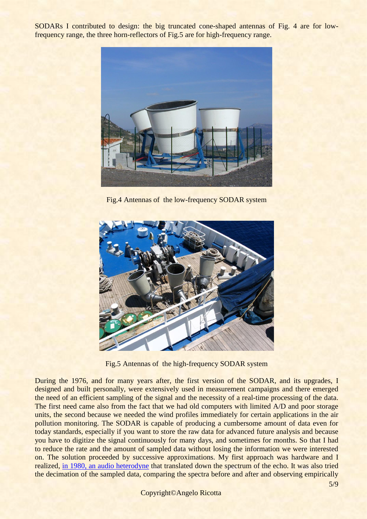SODARs I contributed to design: the big truncated cone-shaped antennas of Fig. 4 are for lowfrequency range, the three horn-reflectors of Fig.5 are for high-frequency range.



Fig.4 Antennas of the low-frequency SODAR system



Fig.5 Antennas of the high-frequency SODAR system

During the 1976, and for many years after, the first version of the SODAR, and its upgrades, I designed and built personally, were extensively used in measurement campaigns and there emerged the need of an efficient sampling of the signal and the necessity of a real-time processing of the data. The first need came also from the fact that we had old computers with limited A/D and poor storage units, the second because we needed the wind profiles immediately for certain applications in the air pollution monitoring. The SODAR is capable of producing a cumbersome amount of data even for today standards, especially if you want to store the raw data for advanced future analysis and because you have to digitize the signal continuously for many days, and sometimes for months. So that I had to reduce the rate and the amount of sampled data without losing the information we were interested on. The solution proceeded by successive approximations. My first approach was hardware and I realized, in 1980, [an audio heterodyne](Eterodina2.pdf) that translated down the spectrum of the echo. It was also tried the decimation of the sampled data, comparing the spectra before and after and observing empirically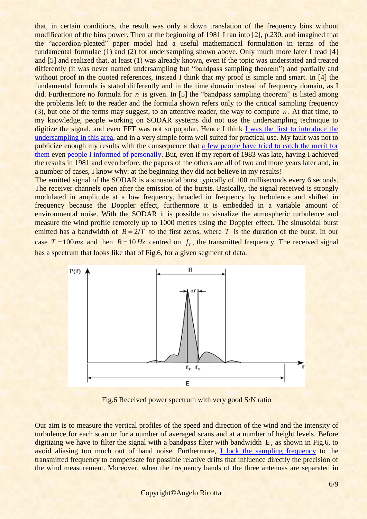that, in certain conditions, the result was only a down translation of the frequency bins without modification of the bins power. Then at the beginning of 1981 I ran into [2], p.230, and imagined that the "accordion-pleated" paper model had a useful mathematical formulation in terms of the fundamental formulae (1) and (2) for undersampling shown above. Only much more later I read [4] and [5] and realized that, at least (1) was already known, even if the topic was understated and treated differently (it was never named undersampling but "bandpass sampling theorem") and partially and without proof in the quoted references, instead I think that my proof is simple and smart. In [4] the fundamental formula is stated differently and in the time domain instead of frequency domain, as I did. Furthermore no formula for *n* is given. In [5] the "bandpass sampling theorem" is listed among the problems left to the reader and the formula shown refers only to the critical sampling frequency (3), but one of the terms may suggest, to an attentive reader, the way to compute  $n$ . At that time, to my knowledge, people working on SODAR systems did not use the undersampling technique to digitize the signal, and even FFT was not so popular. Hence I think [I was the first to introduce](Sodar83-11.doc) the [undersampling in this area,](Sodar83-11.doc) and in a very simple form well suited for practical use. My fault was not to publicize enough my results with the consequence that [a few people have tried to catch the merit for](Plagi.pdf)  [them](Plagi.pdf) even [people I informed of personally.](UndersamplingAR.htm) But, even if my report of 1983 was late, having I achieved the results in 1981 and even before, the papers of the others are all of two and more years later and, in a number of cases, I know why: at the beginning they did not believe in my results!

The emitted signal of the SODAR is a sinusoidal burst typically of 100 milliseconds every 6 seconds. The receiver channels open after the emission of the bursts. Basically, the signal received is strongly modulated in amplitude at a low frequency, broaded in frequency by turbulence and shifted in frequency because the Doppler effect, furthermore it is embedded in a variable amount of environmental noise. With the SODAR it is possible to visualize the atmospheric turbulence and measure the wind profile remotely up to 1000 metres using the Doppler effect. The sinusoidal burst emitted has a bandwidth of  $B = 2/T$  to the first zeros, where T is the duration of the burst. In our case  $T = 100 \text{ ms}$  and then  $B = 10 \text{ Hz}$  centred on  $f<sub>T</sub>$ , the transmitted frequency. The received signal has a spectrum that looks like that of Fig.6, for a given segment of data.



Fig.6 Received power spectrum with very good S/N ratio

Our aim is to measure the vertical profiles of the speed and direction of the wind and the intensity of turbulence for each scan or for a number of averaged scans and at a number of height levels. Before digitizing we have to filter the signal with a bandpass filter with bandwidth E, as shown in Fig.6, to avoid aliasing too much out of band noise. Furthermore, [I lock the sampling frequency](Eterodina2.pdf) to the transmitted frequency to compensate for possible relative drifts that influence directly the precision of the wind measurement. Moreover, when the frequency bands of the three antennas are separated in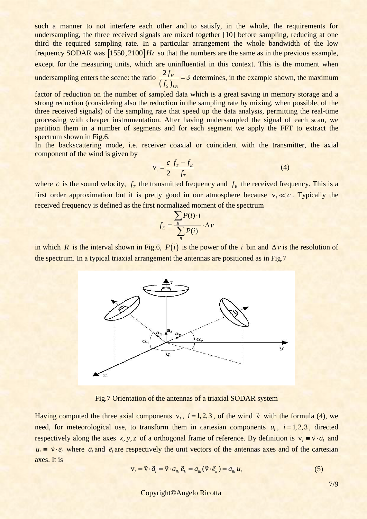such a manner to not interfere each other and to satisfy, in the whole, the requirements for undersampling, the three received signals are mixed together [10] before sampling, reducing at one third the required sampling rate. In a particular arrangement the whole bandwidth of the low frequency SODAR was  $\left[1550,2100\right]$  *Hz* so that the numbers are the same as in the previous example, except for the measuring units, which are uninfluential in this context. This is the moment when undersampling enters the scene: the ratio  $(f_s)$  $\frac{2f_H}{f} = 3$ *S LB f f* = 3 determines, in the example shown, the maximum

factor of reduction on the number of sampled data which is a great saving in memory storage and a strong reduction (considering also the reduction in the sampling rate by mixing, when possible, of the three received signals) of the sampling rate that speed up the data analysis, permitting the real-time processing with cheaper instrumentation. After having undersampled the signal of each scan, we partition them in a number of segments and for each segment we apply the FFT to extract the spectrum shown in Fig.6.

In the backscattering mode, i.e. receiver coaxial or coincident with the transmitter, the axial component of the wind is given by

$$
\mathbf{v}_i = \frac{c}{2} \frac{f_T - f_E}{f_T} \tag{4}
$$

where c is the sound velocity,  $f<sub>T</sub>$  the transmitted frequency and  $f<sub>E</sub>$  the received frequency. This is a first order approximation but it is pretty good in our atmosphere because  $v_i \ll c$ . Typically the received frequency is defined as the first normalized moment of the spectrum

$$
f_E = \frac{\sum_{R} P(i) \cdot i}{\sum_{R} P(i)} \cdot \Delta V
$$

in which R is the interval shown in Fig.6,  $P(i)$  is the power of the *i* bin and  $\Delta v$  is the resolution of the spectrum. In a typical triaxial arrangement the antennas are positioned as in Fig.7



Fig.7 Orientation of the antennas of a triaxial SODAR system

Having computed the three axial components  $v_i$ ,  $i = 1, 2, 3$ , of the wind  $\vec{v}$  with the formula (4), we need, for meteorological use, to transform them in cartesian components  $u_i$ ,  $i = 1, 2, 3$ , directed respectively along the axes x, y, z of a orthogonal frame of reference. By definition is  $v_i = \vec{v} \cdot \vec{a}_i$  and  $u_i = \vec{v} \cdot \vec{e}_i$  where  $\vec{a}_i$  and  $\vec{e}_i$  are respectively the unit vectors of the antennas axes and of the cartesian axes. It is axes. It is<br> $v_i = \vec{v} \cdot \vec{a}_i = \vec{v} \cdot a_{ik} \vec{e}_k = a_{ik} (\vec{v} \cdot \vec{e}_k) = a_{ik} u_k$  $= \vec{v} \cdot \vec{a}_i = \vec{v} \cdot a_{ik} \vec{e}_k = a_{ik} (\vec{v} \cdot \vec{e}_k) = a_{ik} u_k$  (5)

$$
\mathbf{v}_{i} = \vec{\mathbf{v}} \cdot \vec{a}_{i} = \vec{\mathbf{v}} \cdot a_{ik} \vec{e}_{k} = a_{ik} (\vec{\mathbf{v}} \cdot \vec{e}_{k}) = a_{ik} u_{k}
$$
(5)

7/9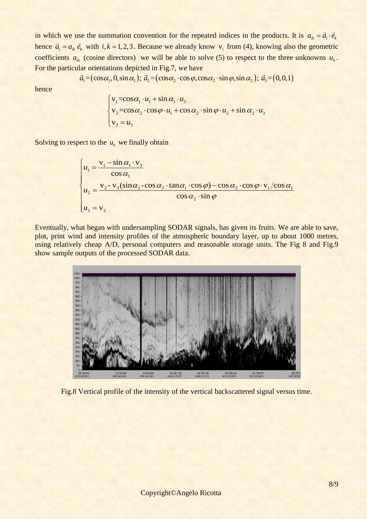in which we use the summation convention for the repeated indices in the products. It is  $a_{ik} = \vec{a}_i \cdot \vec{e}_k$ hence  $\vec{a}_i = a_{ik} \vec{e}_k$  with  $i, k = 1, 2, 3$ . Because we already know  $v_i$  from (4), knowing also the geometric coefficients  $a_{ik}$  (cosine directors) we will be able to solve (5) to respect to the three unknowns  $u_k$ . For the particular orientations depicted in Fig.7, we have (cosine directors) we will be able to solve (5) to respect to the three ar orientations depicted in Fig.7, we have  $\vec{a}_1 = (\cos \alpha_1, 0, \sin \alpha_1)$ ;  $\vec{a}_2 = (\cos \alpha_2 \cdot \cos \varphi, \cos \alpha_2 \cdot \sin \varphi, \sin \alpha_2)$ ;  $\vec{a}_3 = (0,0,1)$ 

$$
\vec{a}_1 = (\cos\alpha_1, 0, \sin\alpha_1); \vec{a}_2 = (\cos\alpha_2 \cdot \cos\varphi, \cos\alpha_2 \cdot \sin\varphi, \sin\alpha_2); \vec{a}_3 = (0, 0, 1)
$$

hence

$$
\begin{cases}\n\mathbf{v}_1 = \cos \alpha_1 \cdot u_1 + \sin \alpha_1 \cdot u_3 \\
\mathbf{v}_2 = \cos \alpha_2 \cdot \cos \varphi \cdot u_1 + \cos \alpha_2 \cdot \sin \varphi \cdot u_2 + \sin \alpha_2 \cdot u_3 \\
\mathbf{v}_3 = u_3\n\end{cases}
$$

Solving to respect to the 
$$
u_k
$$
 we finally obtain  
\n
$$
\begin{cases}\n u_1 = \frac{v_1 - \sin \alpha_1 \cdot v_3}{\cos \alpha_1} \\
 u_2 = \frac{v_2 - v_3(\sin \alpha_2 - \cos \alpha_2 \cdot \tan \alpha_1 \cdot \cos \varphi) - \cos \alpha_2 \cdot \cos \varphi \cdot v_1/\cos \alpha_1}{\cos \alpha_2 \cdot \sin \varphi} \\
 u_3 = v_3\n\end{cases}
$$

Eventually, what began with undersampling SODAR signals, has given its fruits. We are able to save, plot, print wind and intensity profiles of the atmospheric boundary layer, up to about 1000 metres, using relatively cheap A/D, personal computers and reasonable storage units. The Fig 8 and Fig.9 show sample outputs of the processed SODAR data.



Fig.8 Vertical profile of the intensity of the vertical backscattered signal versus time.